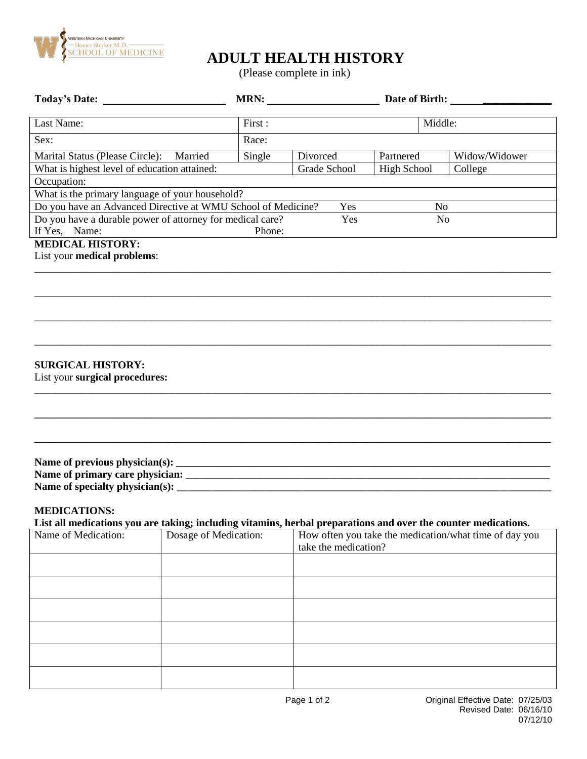

# **ADULT HEALTH HISTORY**

(Please complete in ink)

|                                                                                                                                                              |                                              |        | MRN:         |                      |                    |                |                                                        |
|--------------------------------------------------------------------------------------------------------------------------------------------------------------|----------------------------------------------|--------|--------------|----------------------|--------------------|----------------|--------------------------------------------------------|
| Last Name:                                                                                                                                                   |                                              | First: | Middle:      |                      |                    |                |                                                        |
| Sex:                                                                                                                                                         |                                              | Race:  |              |                      |                    |                |                                                        |
| Marital Status (Please Circle): Married                                                                                                                      |                                              | Single | Divorced     |                      | Partnered          | Widow/Widower  |                                                        |
|                                                                                                                                                              | What is highest level of education attained: |        | Grade School |                      | <b>High School</b> | College        |                                                        |
| Occupation:                                                                                                                                                  |                                              |        |              |                      |                    |                |                                                        |
| What is the primary language of your household?                                                                                                              |                                              |        |              |                      |                    |                |                                                        |
| Do you have an Advanced Directive at WMU School of Medicine?                                                                                                 |                                              |        |              | Yes                  |                    | No             |                                                        |
| Do you have a durable power of attorney for medical care?<br>If Yes, Name:                                                                                   |                                              | Phone: |              | Yes                  |                    | N <sub>o</sub> |                                                        |
| <b>MEDICAL HISTORY:</b><br>List your medical problems:<br><b>SURGICAL HISTORY:</b><br>List your surgical procedures:                                         |                                              |        |              |                      |                    |                |                                                        |
| <b>MEDICATIONS:</b><br>List all medications you are taking; including vitamins, herbal preparations and over the counter medications.<br>Name of Medication: | Dosage of Medication:                        |        |              | take the medication? |                    |                | How often you take the medication/what time of day you |
|                                                                                                                                                              |                                              |        |              |                      |                    |                |                                                        |